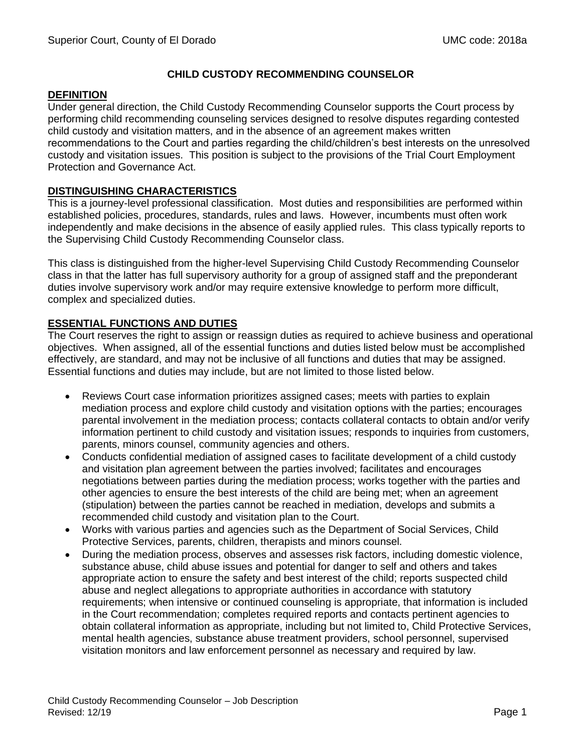## **CHILD CUSTODY RECOMMENDING COUNSELOR**

#### **DEFINITION**

Under general direction, the Child Custody Recommending Counselor supports the Court process by performing child recommending counseling services designed to resolve disputes regarding contested child custody and visitation matters, and in the absence of an agreement makes written recommendations to the Court and parties regarding the child/children's best interests on the unresolved custody and visitation issues. This position is subject to the provisions of the Trial Court Employment Protection and Governance Act.

# **DISTINGUISHING CHARACTERISTICS**

This is a journey-level professional classification. Most duties and responsibilities are performed within established policies, procedures, standards, rules and laws. However, incumbents must often work independently and make decisions in the absence of easily applied rules. This class typically reports to the Supervising Child Custody Recommending Counselor class.

This class is distinguished from the higher-level Supervising Child Custody Recommending Counselor class in that the latter has full supervisory authority for a group of assigned staff and the preponderant duties involve supervisory work and/or may require extensive knowledge to perform more difficult, complex and specialized duties.

# **ESSENTIAL FUNCTIONS AND DUTIES**

The Court reserves the right to assign or reassign duties as required to achieve business and operational objectives. When assigned, all of the essential functions and duties listed below must be accomplished effectively, are standard, and may not be inclusive of all functions and duties that may be assigned. Essential functions and duties may include, but are not limited to those listed below.

- Reviews Court case information prioritizes assigned cases; meets with parties to explain mediation process and explore child custody and visitation options with the parties; encourages parental involvement in the mediation process; contacts collateral contacts to obtain and/or verify information pertinent to child custody and visitation issues; responds to inquiries from customers, parents, minors counsel, community agencies and others.
- Conducts confidential mediation of assigned cases to facilitate development of a child custody and visitation plan agreement between the parties involved; facilitates and encourages negotiations between parties during the mediation process; works together with the parties and other agencies to ensure the best interests of the child are being met; when an agreement (stipulation) between the parties cannot be reached in mediation, develops and submits a recommended child custody and visitation plan to the Court.
- Works with various parties and agencies such as the Department of Social Services, Child Protective Services, parents, children, therapists and minors counsel.
- During the mediation process, observes and assesses risk factors, including domestic violence, substance abuse, child abuse issues and potential for danger to self and others and takes appropriate action to ensure the safety and best interest of the child; reports suspected child abuse and neglect allegations to appropriate authorities in accordance with statutory requirements; when intensive or continued counseling is appropriate, that information is included in the Court recommendation; completes required reports and contacts pertinent agencies to obtain collateral information as appropriate, including but not limited to, Child Protective Services, mental health agencies, substance abuse treatment providers, school personnel, supervised visitation monitors and law enforcement personnel as necessary and required by law.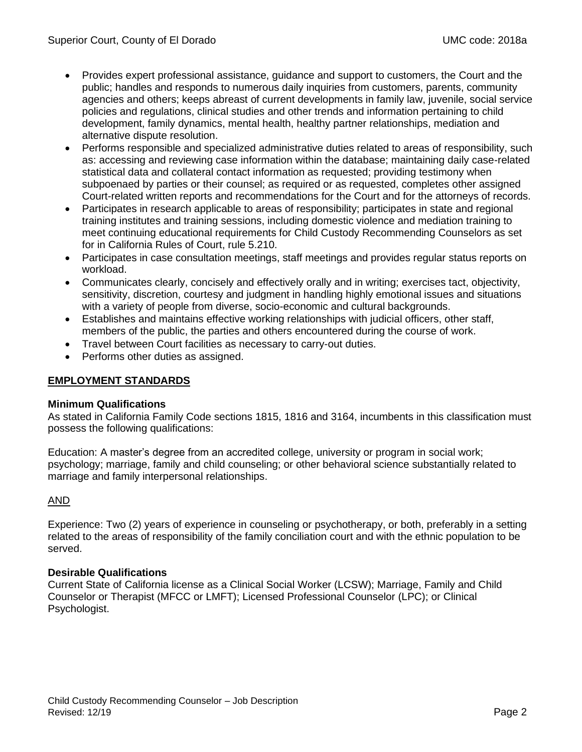- Provides expert professional assistance, guidance and support to customers, the Court and the public; handles and responds to numerous daily inquiries from customers, parents, community agencies and others; keeps abreast of current developments in family law, juvenile, social service policies and regulations, clinical studies and other trends and information pertaining to child development, family dynamics, mental health, healthy partner relationships, mediation and alternative dispute resolution.
- Performs responsible and specialized administrative duties related to areas of responsibility, such as: accessing and reviewing case information within the database; maintaining daily case-related statistical data and collateral contact information as requested; providing testimony when subpoenaed by parties or their counsel; as required or as requested, completes other assigned Court-related written reports and recommendations for the Court and for the attorneys of records.
- Participates in research applicable to areas of responsibility; participates in state and regional training institutes and training sessions, including domestic violence and mediation training to meet continuing educational requirements for Child Custody Recommending Counselors as set for in California Rules of Court, rule 5.210.
- Participates in case consultation meetings, staff meetings and provides regular status reports on workload.
- Communicates clearly, concisely and effectively orally and in writing; exercises tact, objectivity, sensitivity, discretion, courtesy and judgment in handling highly emotional issues and situations with a variety of people from diverse, socio-economic and cultural backgrounds.
- Establishes and maintains effective working relationships with judicial officers, other staff, members of the public, the parties and others encountered during the course of work.
- Travel between Court facilities as necessary to carry-out duties.
- Performs other duties as assigned.

# **EMPLOYMENT STANDARDS**

## **Minimum Qualifications**

As stated in California Family Code sections 1815, 1816 and 3164, incumbents in this classification must possess the following qualifications:

Education: A master's degree from an accredited college, university or program in social work; psychology; marriage, family and child counseling; or other behavioral science substantially related to marriage and family interpersonal relationships.

## AND

Experience: Two (2) years of experience in counseling or psychotherapy, or both, preferably in a setting related to the areas of responsibility of the family conciliation court and with the ethnic population to be served.

## **Desirable Qualifications**

Current State of California license as a Clinical Social Worker (LCSW); Marriage, Family and Child Counselor or Therapist (MFCC or LMFT); Licensed Professional Counselor (LPC); or Clinical Psychologist.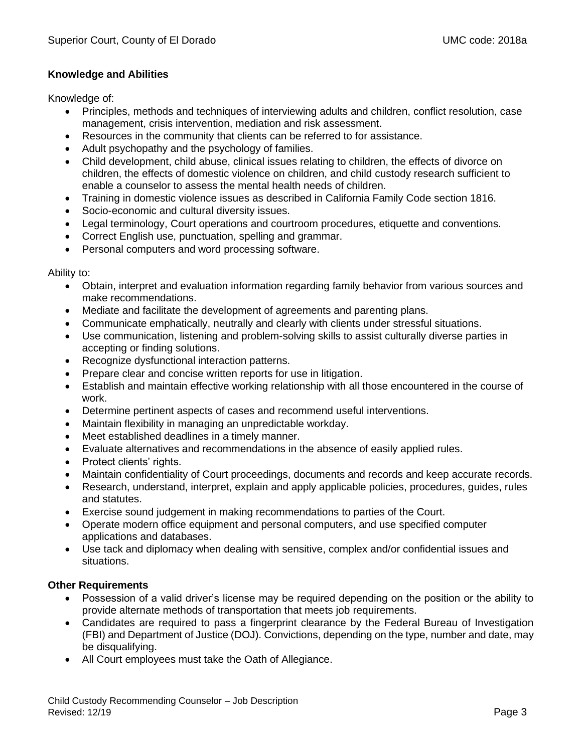## **Knowledge and Abilities**

Knowledge of:

- Principles, methods and techniques of interviewing adults and children, conflict resolution, case management, crisis intervention, mediation and risk assessment.
- Resources in the community that clients can be referred to for assistance.
- Adult psychopathy and the psychology of families.
- Child development, child abuse, clinical issues relating to children, the effects of divorce on children, the effects of domestic violence on children, and child custody research sufficient to enable a counselor to assess the mental health needs of children.
- Training in domestic violence issues as described in California Family Code section 1816.
- Socio-economic and cultural diversity issues.
- Legal terminology, Court operations and courtroom procedures, etiquette and conventions.
- Correct English use, punctuation, spelling and grammar.
- Personal computers and word processing software.

Ability to:

- Obtain, interpret and evaluation information regarding family behavior from various sources and make recommendations.
- Mediate and facilitate the development of agreements and parenting plans.
- Communicate emphatically, neutrally and clearly with clients under stressful situations.
- Use communication, listening and problem-solving skills to assist culturally diverse parties in accepting or finding solutions.
- Recognize dysfunctional interaction patterns.
- Prepare clear and concise written reports for use in litigation.
- Establish and maintain effective working relationship with all those encountered in the course of work.
- Determine pertinent aspects of cases and recommend useful interventions.
- Maintain flexibility in managing an unpredictable workday.
- Meet established deadlines in a timely manner.
- Evaluate alternatives and recommendations in the absence of easily applied rules.
- Protect clients' rights.
- Maintain confidentiality of Court proceedings, documents and records and keep accurate records.
- Research, understand, interpret, explain and apply applicable policies, procedures, guides, rules and statutes.
- Exercise sound judgement in making recommendations to parties of the Court.
- Operate modern office equipment and personal computers, and use specified computer applications and databases.
- Use tack and diplomacy when dealing with sensitive, complex and/or confidential issues and situations.

## **Other Requirements**

- Possession of a valid driver's license may be required depending on the position or the ability to provide alternate methods of transportation that meets job requirements.
- Candidates are required to pass a fingerprint clearance by the Federal Bureau of Investigation (FBI) and Department of Justice (DOJ). Convictions, depending on the type, number and date, may be disqualifying.
- All Court employees must take the Oath of Allegiance.